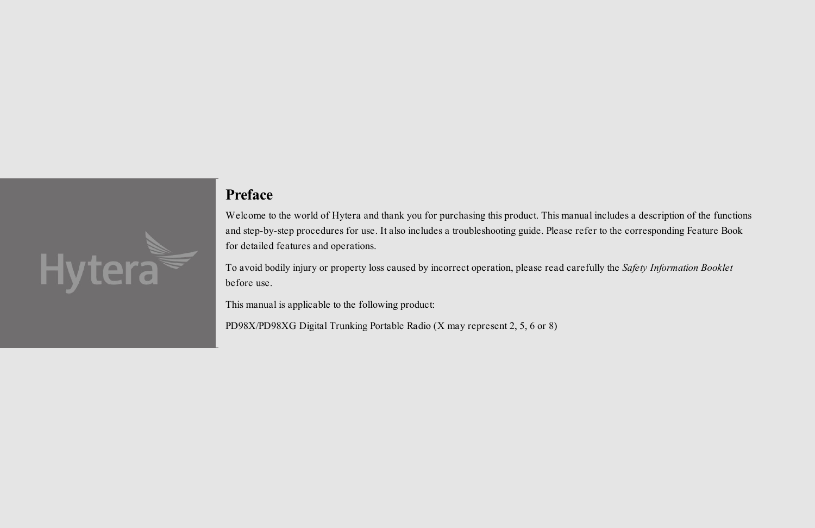

#### **Preface**

Welcome to the world of Hytera and thank you for purchasing this product. This manual includes a description of the functions and step-by-step procedures for use. It also includes a troubleshooting guide. Please refer to the corresponding Feature Book for detailed features and operations.

To avoid bodily injury or property loss caused by incorrect operation, please read carefully the *Safety Information Booklet* before use.

This manual is applicable to the following product:

PD982i/PD982i(G) Digital Trunking Portable Radio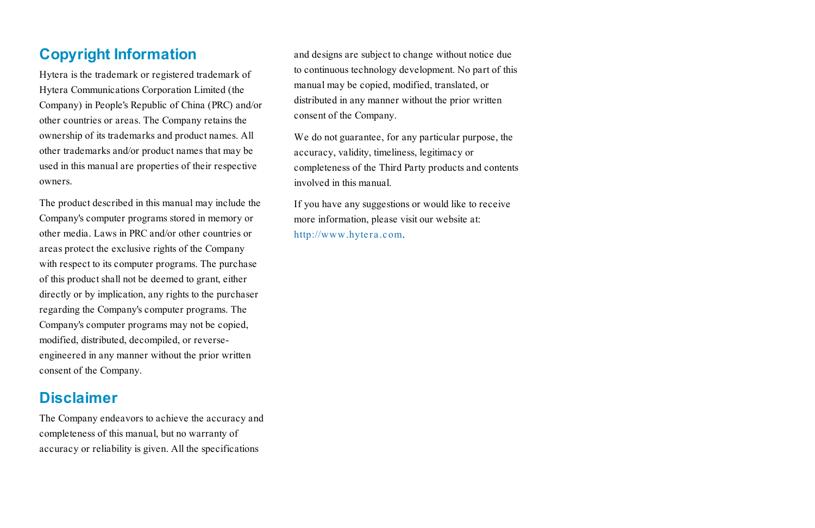## **Copyright Information**

Hytera is the trademark or registered trademark of Hytera Communications Corporation Limited (the Company) in People's Republic of China (PRC) and/or other countries or areas. The Company retains the ownership of its trademarks and product names. All other trademarks and/or product names that may be used in this manual are properties of their respective owners.

The product described in this manual may include the Company's computer programs stored in memory or other media. Laws in PRC and/or other countries or areas protect the exclusive rights of the Company with respect to its computer programs. The purchase of this product shall not be deemed to grant, either directly or by implication, any rights to the purchaser regarding the Company's computer programs. The Company's computer programs may not be copied, modified, distributed, decompiled, or reverseengineered in any manner without the prior written consent of the Company.

### **Disclaimer**

The Company endeavors to achieve the accuracy and completeness of this manual, but no warranty of accuracy or reliability is given. All the specifications

and designs are subject to change without notice due to continuous technology development. No part of this manual may be copied, modified, translated, or distributed in any manner without the prior written consent of the Company.

We do not guarantee, for any particular purpose, the accuracy, validity, timeliness, legitimacy or completeness of the Third Party products and contents involved in this manual.

If you have any suggestions or would like to receive more information, please visit our website at: http://www.hytera.com.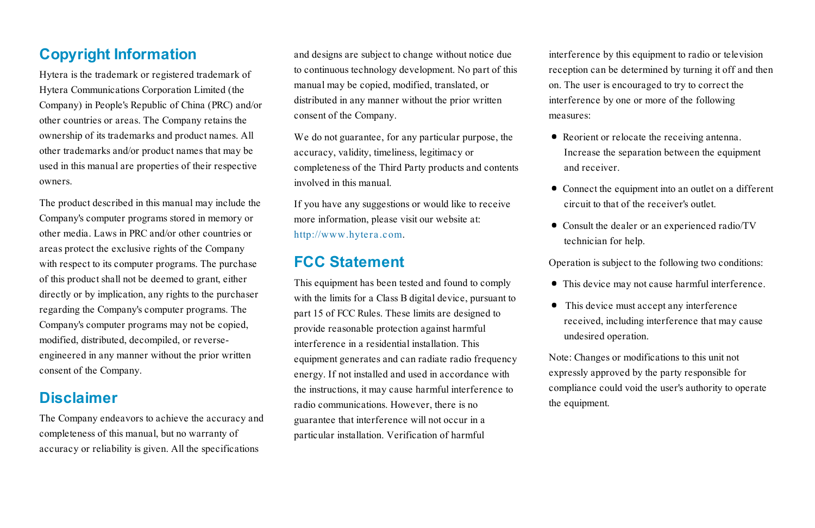## **Copyright Information**

Hytera is the trademark or registered trademark of Hytera Communications Corporation Limited (the Company) in People's Republic of China (PRC) and/or other countries or areas. The Company retains the ownership of its trademarks and product names. All other trademarks and/or product names that may be used in this manual are properties of their respective owners.

The product described in this manual may include the Company's computer programs stored in memory or other media. Laws in PRC and/or other countries or areas protect the exclusive rights of the Company with respect to its computer programs. The purchase of this product shall not be deemed to grant, either directly or by implication, any rights to the purchaser regarding the Company's computer programs. The Company's computer programs may not be copied, modified, distributed, decompiled, or reverseengineered in any manner without the prior written consent of the Company.

### **Disclaimer**

The Company endeavors to achieve the accuracy and completeness of this manual, but no warranty of accuracy or reliability is given. All the specifications

and designs are subject to change without notice due to continuous technology development. No part of this manual may be copied, modified, translated, or distributed in any manner without the prior written consent of the Company.

We do not guarantee, for any particular purpose, the accuracy, validity, timeliness, legitimacy or completeness of the Third Party products and contents involved in this manual.

If you have any suggestions or would like to receive more information, please visit our website at: http://www.hytera.com.

#### **FCC Statement**

This equipment has been tested and found to comply with the limits for a Class B digital device, pursuant to part 15 of FCC Rules. These limits are designed to provide reasonable protection against harmful interference in a residential installation. This equipment generates and can radiate radio frequency energy. If not installed and used in accordance with the instructions, it may cause harmful interference to radio communications. However, there is no guarantee that interference will not occur in a particular installation. Verification of harmful

interference by this equipment to radio or television reception can be determined by turning it off and then on. The user is encouraged to try to correct the interference by one or more of the following measures:

- · Reorient or relocate the receiving antenna. Increase the separation between the equipment and receiver.
- · Connect the equipment into an outlet on a different circuit to that of the receiver's outlet.
- · Consult the dealer or an experienced radio/TV technician for help.

Operation is subject to the following two conditions:

- · This device may not cause harmful interference.
- · This device must accept any interference received, including interference that may cause undesired operation.

Note: Changes or modifications to this unit not expressly approved by the party responsible for compliance could void the user's authority to operate the equipment.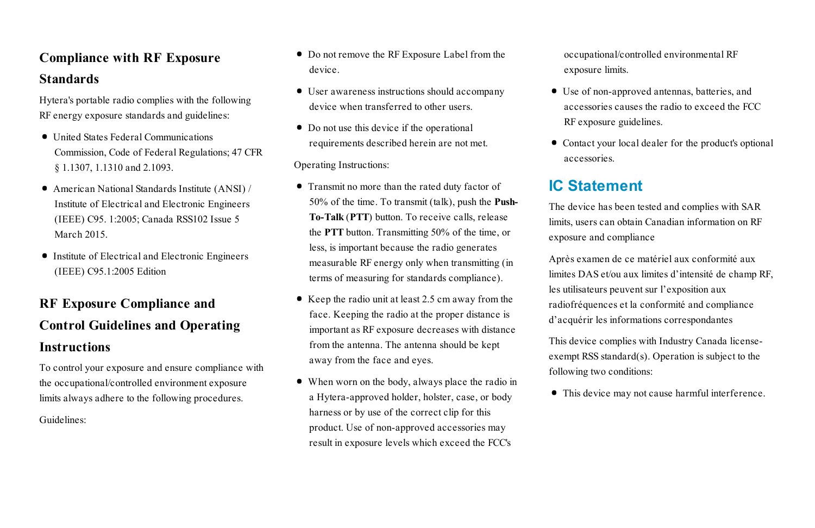# **Compliance with RF Exposure Standards**

Hytera's portable radio complies with the following RF energy exposure standards and guidelines:

- · United States Federal Communications Commission, Code of Federal Regulations; 47 CFR § 1.1307, 1.1310 and 2.1093.
- · American National Standards Institute (ANSI) / Institute of Electrical and Electronic Engineers (IEEE) C95. 1:2005; Canada RSS102 Issue 5 March 2015.
- · Institute of Electrical and Electronic Engineers (IEEE) C95.1:2005 Edition

# **RF Exposure Compliance and Control Guidelines and Operating Instructions**

To control your exposure and ensure compliance with the occupational/controlled environment exposure limits always adhere to the following procedures.

Guidelines:

- · Do not remove the RF Exposure Label from the device.
- · User awareness instructions should accompany device when transferred to other users.
- · Do not use this device if the operational requirements described herein are not met.

Operating Instructions:

- · Transmit no more than the rated duty factor of 50% of the time. To transmit (talk), push the **Push-To-Talk** (**PTT**) button. To receive calls, release the **PTT** button. Transmitting 50% of the time, or less, is important because the radio generates measurable RF energy only when transmitting (in terms of measuring for standards compliance).
- Keep the radio unit at least 2.5 cm away from the face. Keeping the radio at the proper distance is important as RF exposure decreases with distance from the antenna. The antenna should be kept away from the face and eyes.
- · When worn on the body, always place the radio in a Hytera-approved holder, holster, case, or body harness or by use of the correct clip for this product. Use of non-approved accessories may result in exposure levels which exceed the FCC's

occupational/controlled environmental RF exposure limits.

- · Use of non-approved antennas, batteries, and accessories causes the radio to exceed the FCC RF exposure guidelines.
- · Contact your local dealer for the product's optional accessories.

## **IC Statement**

The device has been tested and complies with SAR limits, users can obtain Canadian information on RF exposure and compliance

Après examen de ce matériel aux conformité aux limites DAS et/ou aux limites d'intensité de champ RF, les utilisateurs peuvent sur l'exposition aux radiofréquences et la conformité and compliance d'acquérir les informations correspondantes

This device complies with Industry Canada licenseexempt RSS standard(s). Operation is subject to the following two conditions:

· This device may not cause harmful interference.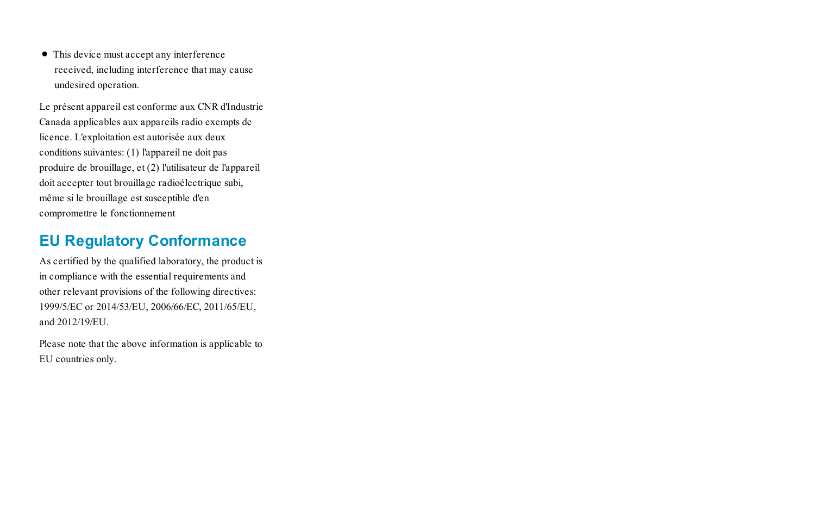· This device must accept any interference received, including interference that may cause undesired operation.

Le présent appareil est conforme aux CNR d'Industrie Canada applicables aux appareils radio exempts de licence. L'exploitation est autorisée aux deux conditions suivantes: (1) l'appareil ne doit pas produire de brouillage, et (2) l'utilisateur de l'appareil doit accepter tout brouillage radioélectrique subi, même si le brouillage est susceptible d'en compromettre le fonctionnement

## **EU Regulatory Conformance**

As certified by the qualified laboratory, the product is in compliance with the essential requirements and other relevant provisions of the following directives: 1999/5/EC or 2014/53/EU, 2006/66/EC, 2011/65/EU, and 2012/19/EU.

Please note that the above information is applicable to EU countries only.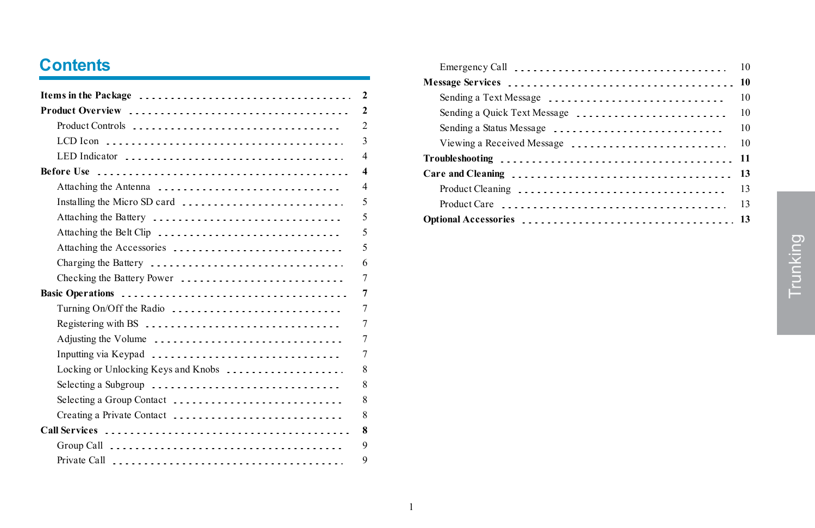# **Contents**

|                                                                                    | $\overline{2}$          |
|------------------------------------------------------------------------------------|-------------------------|
|                                                                                    | $\overline{2}$          |
|                                                                                    | $\overline{2}$          |
|                                                                                    | 3                       |
| LED Indicator                                                                      | $\overline{4}$          |
|                                                                                    | $\overline{\mathbf{4}}$ |
| Attaching the Antenna                                                              | $\overline{4}$          |
| Installing the Micro SD card                                                       | 5                       |
| Attaching the Battery                                                              | 5                       |
| Attaching the Belt Clip                                                            | 5                       |
| Attaching the Accessories                                                          | 5                       |
|                                                                                    | 6                       |
| Checking the Battery Power                                                         | $\overline{7}$          |
|                                                                                    | $\overline{7}$          |
| Turning On/Off the Radio                                                           | $\overline{7}$          |
| Registering with BS                                                                | $\overline{7}$          |
| Adjusting the Volume                                                               | $\overline{7}$          |
| Inputting via Keypad                                                               | $\overline{7}$          |
| Locking or Unlocking Keys and Knobs                                                | 8                       |
| Selecting a Subgroup                                                               | 8                       |
| Selecting a Group Contact                                                          | 8                       |
| Creating a Private Contact                                                         | 8                       |
|                                                                                    | 8                       |
| Group Call $\ldots \ldots \ldots \ldots \ldots \ldots \ldots \ldots \ldots \ldots$ | 9                       |
|                                                                                    | 9                       |

|                              | 10 |
|------------------------------|----|
|                              | 10 |
| Sending a Text Message       | 10 |
| Sending a Quick Text Message | 10 |
| Sending a Status Message     | 10 |
| Viewing a Received Message   | 10 |
|                              | 11 |
|                              | 13 |
| Product Cleaning             | 13 |
|                              | 13 |
|                              |    |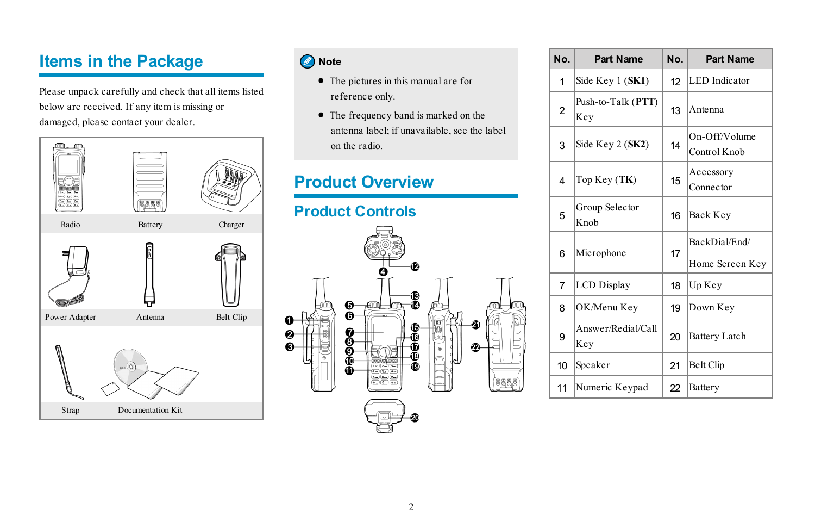# <span id="page-6-0"></span>**Items in the Package**

Please unpack carefully and check that all items listed below are received. If any item is missing or damaged, please contact your dealer.



### Note

- · The pictures in this manual are for reference only.
- The frequency band is marked on the antenna label; if unavailable, see the label on the radio.

# <span id="page-6-2"></span><span id="page-6-1"></span>**Product Overview**



| No.            | <b>Part Name</b>          | No. | <b>Part Name</b>                 |
|----------------|---------------------------|-----|----------------------------------|
| 1              | Side Key 1 (SK1)          | 12  | <b>LED</b> Indicator             |
| $\overline{2}$ | Push-to-Talk (PTT)<br>Key | 13  | Antenna                          |
| 3              | Side Key 2 (SK2)          | 14  | On-Off/Volume<br>Control Knob    |
| 4              | Top Key (TK)              | 15  | Accessory<br>Connector           |
| 5              | Group Selector<br>Knob    | 16  | Back Key                         |
| 6              | Microphone                | 17  | BackDial/End/<br>Home Screen Key |
| $\overline{7}$ | <b>LCD</b> Display        | 18  | Up Key                           |
| 8              | OK/Menu Key               | 19  | Down Key                         |
| 9              | Answer/Redial/Call<br>Key | 20  | <b>Battery Latch</b>             |
| 10             | Speaker                   | 21  | <b>Belt Clip</b>                 |
| 11             | Numeric Keypad            | 22  | Battery                          |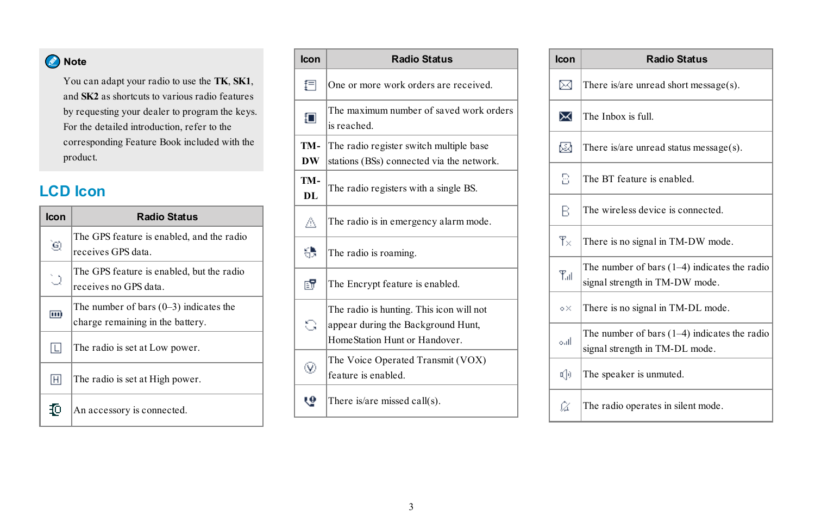## **O** Note

You can adapt your radio to use the **TK**, **SK1**, and **SK2** as shortcuts to various radio features by requesting your dealer to program the keys. For the detailed introduction, refer to the corresponding Feature Book included with the product.

# <span id="page-7-0"></span>**LCD Icon**

| Icon | <b>Radio Status</b>                                                          |
|------|------------------------------------------------------------------------------|
| ٥ij  | The GPS feature is enabled, and the radio<br>receives GPS data-              |
| ់)   | The GPS feature is enabled, but the radio<br>receives no GPS data            |
| m    | The number of bars $(0-3)$ indicates the<br>charge remaining in the battery. |
| IL.  | The radio is set at Low power.                                               |
| 田    | The radio is set at High power.                                              |
|      | An accessory is connected.                                                   |

| Icon       | <b>Radio Status</b>                                                                                             |
|------------|-----------------------------------------------------------------------------------------------------------------|
| 扫          | One or more work orders are received.                                                                           |
| O          | The maximum number of saved work orders<br>is reached                                                           |
| TM-<br>DW  | The radio register switch multiple base<br>stations (BSs) connected via the network.                            |
| TM-<br>DL. | The radio registers with a single BS.                                                                           |
| Δ          | The radio is in emergency alarm mode.                                                                           |
| 8          | The radio is roaming.                                                                                           |
| ГY         | The Encrypt feature is enabled.                                                                                 |
| S          | The radio is hunting. This icon will not<br>appear during the Background Hunt,<br>HomeStation Hunt or Handover. |
| V,         | The Voice Operated Transmit (VOX)<br>feature is enabled                                                         |
| 9          | There is/are missed call(s).                                                                                    |

| Icon         | <b>Radio Status</b>                                                              |
|--------------|----------------------------------------------------------------------------------|
| ⊠            | There is/are unread short message(s).                                            |
| ✕            | The Inbox is full                                                                |
| ⊠            | There is/are unread status message(s).                                           |
| Β            | The BT feature is enabled.                                                       |
| B            | The wireless device is connected                                                 |
| $T_{\times}$ | There is no signal in TM-DW mode.                                                |
| $T_{all}$    | The number of bars $(1-4)$ indicates the radio<br>signal strength in TM-DW mode. |
| o×.          | There is no signal in TM-DL mode.                                                |
| أأأرده       | The number of bars $(1-4)$ indicates the radio<br>signal strength in TM-DL mode. |
| 响            | The speaker is unmuted.                                                          |
| Ωï           | The radio operates in silent mode.                                               |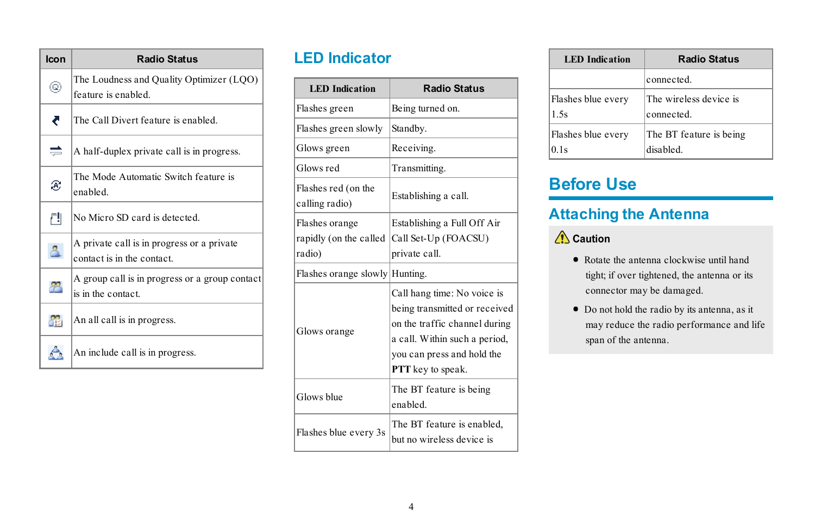| Icon      | <b>Radio Status</b>                                                     |
|-----------|-------------------------------------------------------------------------|
| Q         | The Loudness and Quality Optimizer (LQO)<br>feature is enabled          |
| ₹         | The Call Divert feature is enabled                                      |
| ═         | A half-duplex private call is in progress.                              |
| B         | The Mode Automatic Switch feature is<br>enabled                         |
| ГIJ       | No Micro SD card is detected                                            |
| Δ         | A private call is in progress or a private<br>contact is in the contact |
| 83        | A group call is in progress or a group contact<br>is in the contact     |
| <b>SR</b> | An all call is in progress.                                             |
|           | An include call is in progress.                                         |

# <span id="page-8-0"></span>**LED Indicator**

| <b>LED</b> Indication                              | <b>Radio Status</b>                                                                                                                                                               |
|----------------------------------------------------|-----------------------------------------------------------------------------------------------------------------------------------------------------------------------------------|
| Flashes green                                      | Being turned on.                                                                                                                                                                  |
| Flashes green slowly                               | Standby.                                                                                                                                                                          |
| Glows green                                        | Receiving.                                                                                                                                                                        |
| Glows red                                          | Transmitting.                                                                                                                                                                     |
| Flashes red (on the<br>calling radio)              | Establishing a call.                                                                                                                                                              |
| Flashes orange<br>rapidly (on the called<br>radio) | Establishing a Full Off Air<br>Call Set-Up (FOACSU)<br>private call.                                                                                                              |
| Flashes orange slowly Hunting.                     |                                                                                                                                                                                   |
| Glows orange                                       | Call hang time: No voice is<br>being transmitted or received<br>on the traffic channel during<br>a call. Within such a period,<br>you can press and hold the<br>PTT key to speak. |
| Glows blue                                         | The BT feature is being<br>enabled                                                                                                                                                |
| Flashes blue every 3s                              | The BT feature is enabled,<br>but no wireless device is                                                                                                                           |

| <b>LED</b> Indication | <b>Radio Status</b>     |
|-----------------------|-------------------------|
|                       | connected               |
| Flashes blue every    | The wireless device is  |
| 1.5s                  | connected               |
| Flashes blue every    | The BT feature is being |
| 0 <sub>1s</sub>       | disabled                |

# <span id="page-8-2"></span><span id="page-8-1"></span>**Before Use**

## **Attaching the Antenna**

## $\sqrt{\phantom{a}}$  Caution

- · Rotate the antenna clockwise until hand tight; if over tightened, the antenna or its connector may be damaged.
- · Do not hold the radio by its antenna, as it may reduce the radio performance and life span of the antenna.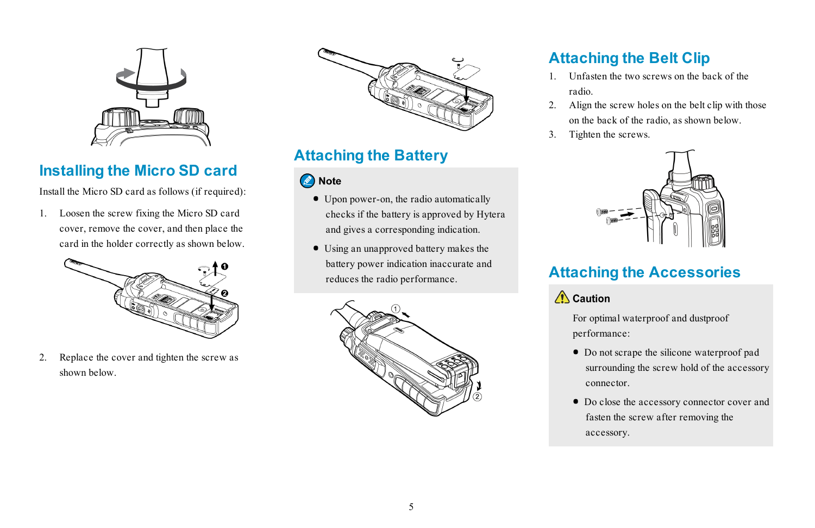

# <span id="page-9-0"></span>**Installing the Micro SD card**

Install the Micro SD card as follows (if required):

1. Loosen the screw fixing the Micro SD card cover, remove the cover, and then place the card in the holder correctly as shown below.



2. Replace the cover and tighten the screw as shown below.



# <span id="page-9-1"></span>**Attaching the Battery**

#### Note

- · Upon power-on, the radio automatically checks if the battery is approved by Hytera and gives a corresponding indication.
- · Using an unapproved battery makes the battery power indication inaccurate and reduces the radio performance.



# <span id="page-9-2"></span>**Attaching the Belt Clip**

- 1. Unfasten the two screws on the back of the radio.
- 2. Align the screw holes on the belt clip with those on the back of the radio, as shown below.
- 3. Tighten the screws.



# <span id="page-9-3"></span>**Attaching the Accessories**

 $\bigwedge$  Caution

For optimal waterproof and dustproof performance:

- · Do not scrape the silicone waterproof pad surrounding the screw hold of the accessory connector.
- · Do close the accessory connector cover and fasten the screw after removing the accessory.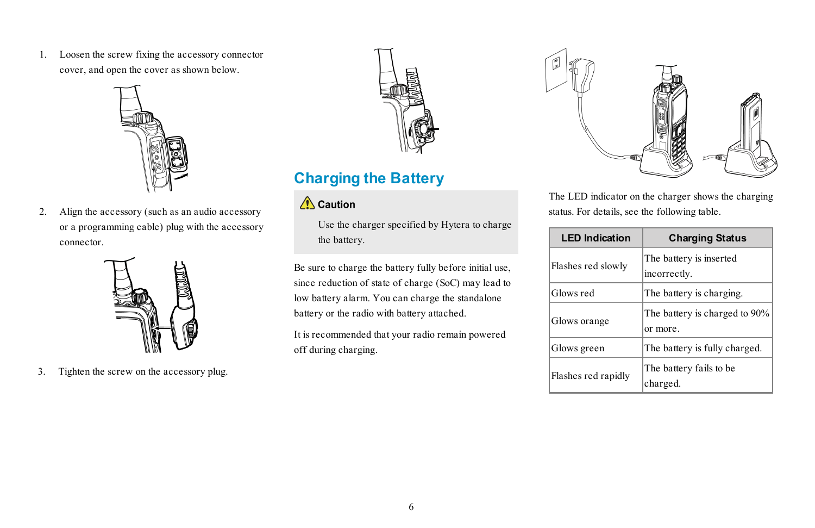1. Loosen the screw fixing the accessory connector cover, and open the cover as shown below.



2. Align the accessory (such as an audio accessory or a programming cable) plug with the accessory connector.



3. Tighten the screw on the accessory plug.



## <span id="page-10-0"></span>**Charging the Battery**

### $\triangle$  Caution

Use the charger specified by Hytera to charge the battery.

Be sure to charge the battery fully before initial use, since reduction of state of charge (SoC) may lead to low battery alarm. You can charge the standalone battery or the radio with battery attached.

It is recommended that your radio remain powered off during charging.



The LED indicator on the charger shows the charging status. For details, see the following table.

| <b>LED Indication</b> | <b>Charging Status</b>                   |
|-----------------------|------------------------------------------|
| Flashes red slowly    | The battery is inserted<br>incorrectly.  |
| Glows red             | The battery is charging.                 |
| Glows orange          | The battery is charged to 90%<br>or more |
| Glows green           | The battery is fully charged.            |
| Flashes red rapidly   | The battery fails to be<br>charged.      |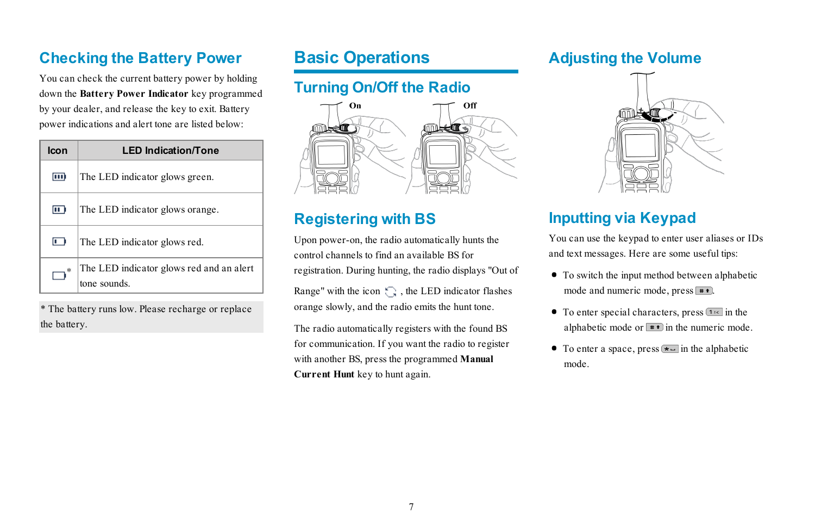# <span id="page-11-0"></span>**Checking the Battery Power**

You can check the current battery power by holding down the **Battery Power Indicator** key programmed by your dealer, and release the key to exit. Battery power indications and alert tone are listed below:

| lcon   | <b>LED Indication/Tone</b>                              |
|--------|---------------------------------------------------------|
| m      | The LED indicator glows green.                          |
| $\Box$ | The LED indicator glows orange.                         |
| □      | The LED indicator glows red.                            |
|        | The LED indicator glows red and an alert<br>tone sounds |

\* The battery runs low. Please recharge or replace the battery.

# <span id="page-11-2"></span><span id="page-11-1"></span>**Basic Operations**

## **Turning On/Off the Radio**



# <span id="page-11-3"></span>**Registering with BS**

Upon power-on, the radio automatically hunts the control channels to find an available BS for registration. During hunting, the radio displays "Out of

Range" with the icon  $\bigcap$ , the LED indicator flashes orange slowly, and the radio emits the hunt tone.

The radio automatically registers with the found BS for communication. If you want the radio to register with another BS, press the programmed **Manual Current Hunt** key to hunt again.

### <span id="page-11-4"></span>**Adjusting the Volume**



## <span id="page-11-5"></span>**Inputting via Keypad**

You can use the keypad to enter user aliases or IDs and text messages. Here are some useful tips:

- · To switch the input method between alphabetic mode and numeric mode, press  $\overline{\bullet}$ .
- $\bullet$  To enter special characters, press  $\bullet$  in the alphabetic mode or  $\blacksquare$  in the numeric mode.
- To enter a space, press  $\bullet$  in the alphabetic mode.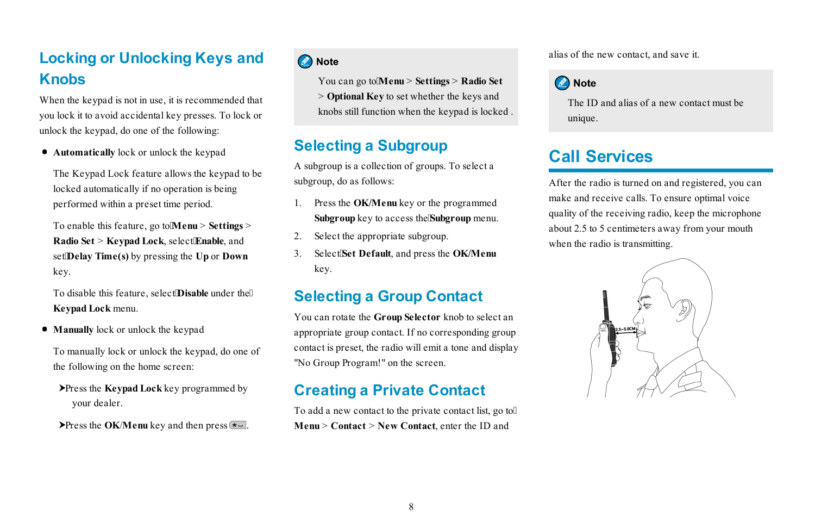# <span id="page-12-0"></span>**Locking or Unlocking Keys and Knobs**

When the keypad is not in use, it is recommended that you lock it to avoid accidental key presses. To lock or unlock the keypad, do one of the following:

· **Automatically** lock or unlock the keypad

The Keypad Lock feature allows the keypad to be locked automatically if no operation is being performed within a preset time period.

To enable this feature, go to **Menu** > Settings > **Radio Set** > **Keypad Lock**, select**Enable**, and set**Delay Time(s)** by pressing the **Up** or **Down** key.

To disable this feature, select**Disable** under the **Keypad Lock** menu.

· **Manually** lock or unlock the keypad

To manually lock or unlock the keypad, do one of the following on the home screen:

 Press the **Keypad Lock** key programmed by your dealer.

Press the **OK/Menu** key and then press  $\overline{\bullet}$ .

#### **O** Note

You can go to**Menu** > **Settings** > **Radio Set**

> **Optional Key** to set whether the keys and knobs still function when the keypad is locked .

## <span id="page-12-1"></span>**Selecting a Subgroup**

A subgroup is a collection of groups. To select a subgroup, do as follows:

- 1. Press the **OK/Menu** key or the programmed **Subgroup** key to access the**Subgroup** menu.
- 2. Select the appropriate subgroup.
- <span id="page-12-2"></span>3. Select**Set Default**, and press the **OK/Menu** key.

## **Selecting a Group Contact**

You can rotate the **Group Selector** knob to select an appropriate group contact. If no corresponding group contact is preset, the radio will emit a tone and display "No Group Program!" on the screen.

## <span id="page-12-3"></span>**Creating a Private Contact**

To add a new contact to the private contact list, go to **Menu** > **Contact** > **New Contact**, enter the ID and

alias of the new contact, and save it.

### **O** Note

The ID and alias of a new contact must be unique.

# <span id="page-12-4"></span>**Call Services**

After the radio is turned on and registered, you can make and receive calls. To ensure optimal voice quality of the receiving radio, keep the microphone about 2.5 to 5 centimeters away from your mouth when the radio is transmitting.

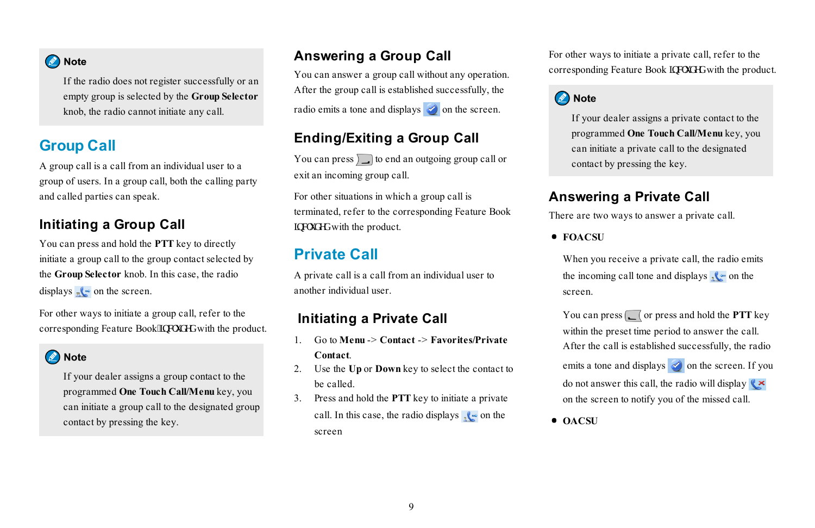#### Note

If the radio does not register successfully or an empty group is selected by the **Group Selector** knob, the radio cannot initiate any call.

## <span id="page-13-0"></span>**Group Call**

A group call is a call from an individual user to a group of users. In a group call, both the calling party and called parties can speak.

#### **Initiating a Group Call**

You can press and hold the **PTT** key to directly initiate a group call to the group contact selected by the **Group Selector** knob. In this case, the radio displays  $\sqrt{\cdot}$  on the screen.

For other ways to initiate a group call, refer to the corresponding Feature Book'lpenwf gf with the product.

#### **O** Note

If your dealer assigns a group contact to the programmed **One Touch Call/Menu** key, you can initiate a group call to the designated group contact by pressing the key.

### **Answering a Group Call**

You can answer a group call without any operation. After the group call is established successfully, the radio emits a tone and displays  $\Diamond$  on the screen.

### **Ending/Exiting a Group Call**

You can press  $\Box$  to end an outgoing group call or exit an incoming group call.

For other situations in which a group call is terminated, refer to the corresponding Feature Book kpenwf gf with the product.

## <span id="page-13-1"></span>**Private Call**

A private call is a call from an individual user to another individual user.

### **Initiating a Private Call**

- 1. Go to **Menu** -> **Contact** -> **Favorites/Private Contact**.
- 2. Use the **Up** or **Down** key to select the contact to be called.
- 3. Press and hold the **PTT** key to initiate a private call. In this case, the radio displays  $\sqrt{\phantom{a}}$  on the screen

For other ways to initiate a private call, refer to the corresponding Feature Book lpen fgf with the product.

#### **O** Note

If your dealer assigns a private contact to the programmed **One Touch Call/Menu** key, you can initiate a private call to the designated contact by pressing the key.

#### **Answering a Private Call**

There are two ways to answer a private call.

· **FOACSU**

When you receive a private call, the radio emits the incoming call tone and displays  $\sqrt{\cdot}$  on the screen.

You can press  $\boxed{\phantom{a}}$  or press and hold the **PTT** key within the preset time period to answer the call. After the call is established successfully, the radio emits a tone and displays  $\Diamond$  on the screen. If you do not answer this call, the radio will display  $(x \times y)$ on the screen to notify you of the missed call.

· **OACSU**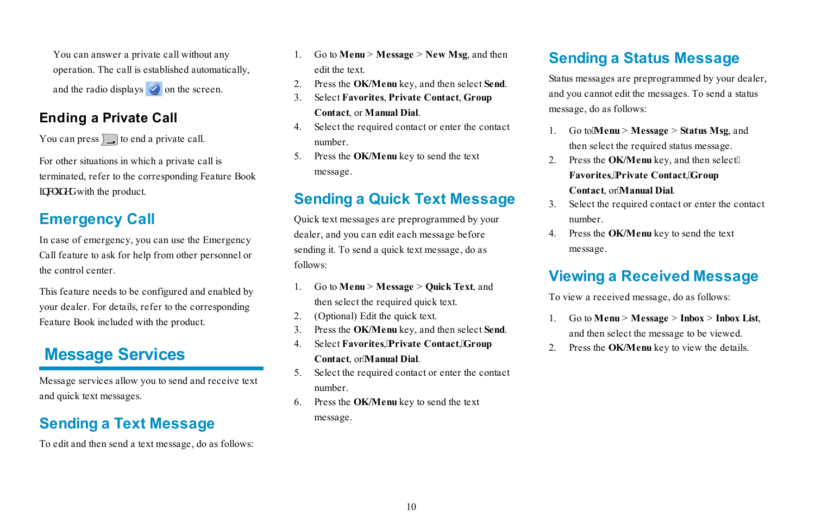You can answer a private call without any operation. The call is established automatically, and the radio displays  $\Diamond$  on the screen.

### **Ending a Private Call**

You can press  $\int$  to end a private call.

For other situations in which a private call is terminated, refer to the corresponding Feature Book kpenwf gf with the product.

# <span id="page-14-0"></span>**Emergency Call**

In case of emergency, you can use the Emergency Call feature to ask for help from other personnel or the control center.

This feature needs to be configured and enabled by your dealer. For details, refer to the corresponding Feature Book included with the product.

# <span id="page-14-1"></span>**Message Services**

<span id="page-14-2"></span>Message services allow you to send and receive text and quick text messages.

# **Sending a Text Message**

To edit and then send a text message, do as follows:

- 1. Go to **Menu** > **Message** > **New Msg**, and then edit the text.
- 2. Press the **OK/Menu** key, and then select **Send**.
- 3. Select **Favorites**, **Private Contact**, **Group Contact**, or **Manual Dial**.
- 4. Select the required contact or enter the contact number.
- <span id="page-14-3"></span>5. Press the **OK/Menu** key to send the text message.

# **Sending a Quick Text Message**

Quick text messages are preprogrammed by your dealer, and you can edit each message before sending it. To send a quick text message, do as follows:

- 1. Go to **Menu** > **Message** > **Quick Text**, and then select the required quick text.
- 2. (Optional) Edit the quick text.
- 3. Press the **OK/Menu** key, and then select **Send**.
- 4. Select **Favorites**,**Private Contact**,**Group Contact**, or**Manual Dial**.
- 5. Select the required contact or enter the contact number.
- 6. Press the **OK/Menu** key to send the text message.

# <span id="page-14-4"></span>**Sending a Status Message**

Status messages are preprogrammed by your dealer, and you cannot edit the messages. To send a status message, do as follows:

- 1. Go to**Menu** > **Message** > **Status Msg**, and then select the required status message.
- 2. Press the **OK/Menu** key, and then select **Favorites**,**Private Contact**,**Group Contact**, or**Manual Dial**.
- 3. Select the required contact or enter the contact number.
- <span id="page-14-5"></span>4. Press the **OK/Menu** key to send the text message.

# **Viewing a Received Message**

To view a received message, do as follows:

- 1. Go to **Menu** > **Message** > **Inbox** > **Inbox List**, and then select the message to be viewed.
- 2. Press the **OK/Menu** key to view the details.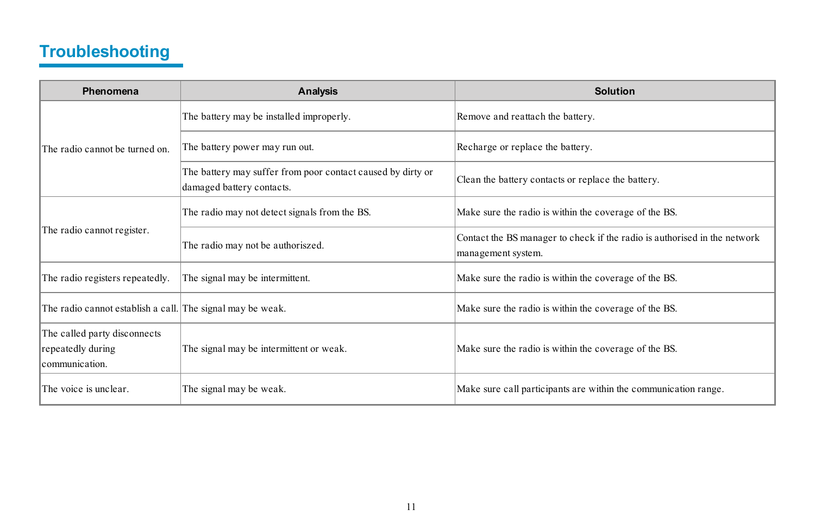# <span id="page-15-0"></span>**Troubleshooting**

| Phenomena                                                           | Analysis                                                                                 | Solution                                                                                        |
|---------------------------------------------------------------------|------------------------------------------------------------------------------------------|-------------------------------------------------------------------------------------------------|
| The radio cannot be turned on                                       | The battery may be installed improperly.                                                 | Remove and reattach the battery.                                                                |
|                                                                     | The battery power may run out.                                                           | Recharge or replace the battery.                                                                |
|                                                                     | The battery may suffer from poor contact caused by dirty or<br>damaged battery contacts. | Clean the battery contacts or replace the battery.                                              |
| The radio cannot register.                                          | The radio may not detect signals from the BS.                                            | Make sure the radio is within the coverage of the BS.                                           |
|                                                                     | The radio may not be authoriszed.                                                        | Contact the BS manager to check if the radio is authorised in the network<br>management system. |
| The radio registers repeatedly.                                     | The signal may be intermittent.                                                          | Make sure the radio is within the coverage of the BS.                                           |
| The radio cannot establish a call. The signal may be weak.          |                                                                                          | Make sure the radio is within the coverage of the BS.                                           |
| The called party disconnects<br>repeatedly during<br>lcommunication | The signal may be intermittent or weak.                                                  | Make sure the radio is within the coverage of the BS.                                           |
| The voice is unclear                                                | The signal may be weak.                                                                  | Make sure call participants are within the communication range.                                 |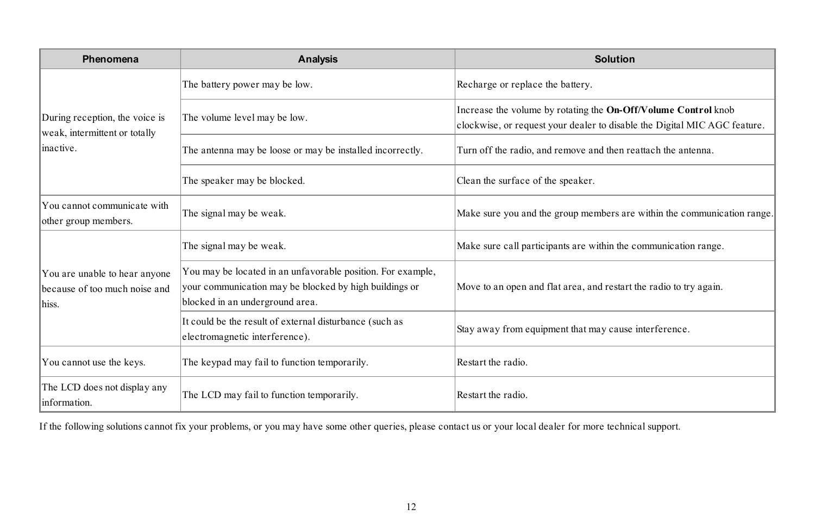| Phenomena                                                                   | Analysis                                                                                                                                                 | Solution                                                                                                                                    |
|-----------------------------------------------------------------------------|----------------------------------------------------------------------------------------------------------------------------------------------------------|---------------------------------------------------------------------------------------------------------------------------------------------|
| During reception, the voice is<br>weak, intermittent or totally<br>inactive | The battery power may be low.                                                                                                                            | Recharge or replace the battery.                                                                                                            |
|                                                                             | The volume level may be low.                                                                                                                             | Increase the volume by rotating the On-Off/Volume Control knob<br>clockwise, or request your dealer to disable the Digital MIC AGC feature. |
|                                                                             | The antenna may be loose or may be installed incorrectly.                                                                                                | Turn off the radio, and remove and then reattach the antenna.                                                                               |
|                                                                             | The speaker may be blocked.                                                                                                                              | Clean the surface of the speaker.                                                                                                           |
| You cannot communicate with<br>other group members.                         | The signal may be weak.                                                                                                                                  | Make sure you and the group members are within the communication range.                                                                     |
| You are unable to hear anyone<br>because of too much noise and<br>hiss      | The signal may be weak.                                                                                                                                  | Make sure call participants are within the communication range.                                                                             |
|                                                                             | You may be located in an unfavorable position. For example,<br>your communication may be blocked by high buildings or<br>blocked in an underground area. | Move to an open and flat area, and restart the radio to try again.                                                                          |
|                                                                             | It could be the result of external disturbance (such as<br>electromagnetic interference).                                                                | Stay away from equipment that may cause interference.                                                                                       |
| You cannot use the keys.                                                    | The keypad may fail to function temporarily.                                                                                                             | Restart the radio.                                                                                                                          |
| The LCD does not display any<br>information                                 | The LCD may fail to function temporarily.                                                                                                                | Restart the radio                                                                                                                           |

If the following solutions cannot fix your problems, or you may have some other queries, please contact us or your local dealer for more technical support.